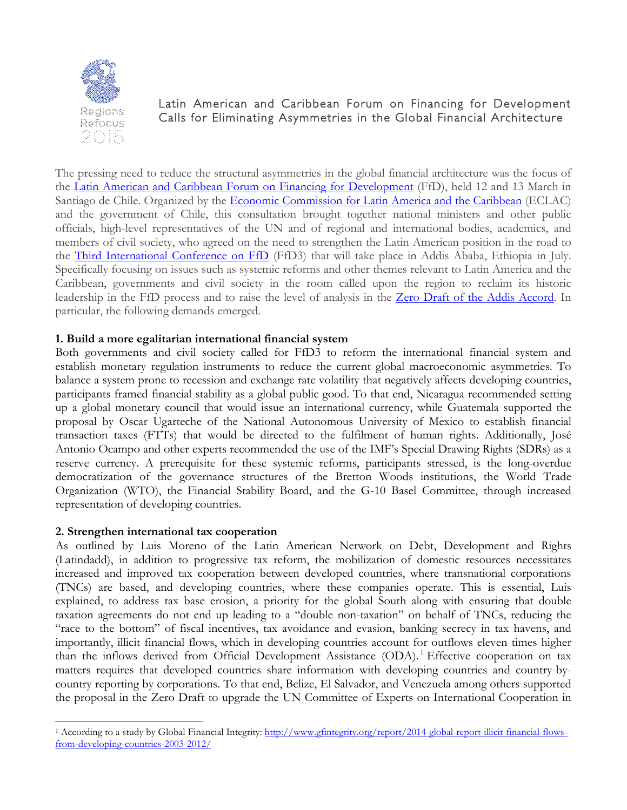

# Latin American and Caribbean Forum on Financing for Development Calls for Eliminating Asymmetries in the Global Financial Architecture

The pressing need to reduce the structural asymmetries in the global financial architecture was the focus of the Latin American and Caribbean Forum on Financing for [Development](http://www.cepal.org/en/comunicados/gobiernos-y-expertos-de-america-latina-y-el-caribe-llaman-repensar-la-arquitectura-del) (FfD), held 12 and 13 March in Santiago de Chile. Organized by the Economic [Commission](http://www.cepal.org/en) for Latin America and the Caribbean (ECLAC) and the government of Chile, this consultation brought together national ministers and other public officials, high-level representatives of the UN and of regional and international bodies, academics, and members of civil society, who agreed on the need to strengthen the Latin American position in the road to the Third [International](http://www.un.org/esa/ffd/overview/third-conference-ffd.html) Conference on FfD (FfD3) that will take place in Addis Ababa, Ethiopia in July. Specifically focusing on issues such as systemic reforms and other themes relevant to Latin America and the Caribbean, governments and civil society in the room called upon the region to reclaim its historic leadership in the FfD process and to raise the level of analysis in the Zero Draft of the Addis [Accord](http://www.un.org/esa/ffd/wp-content/uploads/2015/03/1ds-zero-draft-outcome.pdf). In particular, the following demands emerged.

## **1. Build a more egalitarian international financial system**

Both governments and civil society called for FfD3 to reform the international financial system and establish monetary regulation instruments to reduce the current global macroeconomic asymmetries. To balance a system prone to recession and exchange rate volatility that negatively affects developing countries, participants framed financial stability as a global public good. To that end, Nicaragua recommended setting up a global monetary council that would issue an international currency, while Guatemala supported the proposal by Oscar Ugarteche of the National Autonomous University of Mexico to establish financial transaction taxes (FTTs) that would be directed to the fulfilment of human rights. Additionally, José Antonio Ocampo and other experts recommended the use of the IMF's Special Drawing Rights (SDRs) as a reserve currency. A prerequisite for these systemic reforms, participants stressed, is the long-overdue democratization of the governance structures of the Bretton Woods institutions, the World Trade Organization (WTO), the Financial Stability Board, and the G-10 Basel Committee, through increased representation of developing countries.

### **2. Strengthen international tax cooperation**

As outlined by Luis Moreno of the Latin American Network on Debt, Development and Rights (Latindadd), in addition to progressive tax reform, the mobilization of domestic resources necessitates increased and improved tax cooperation between developed countries, where transnational corporations (TNCs) are based, and developing countries, where these companies operate. This is essential, Luis explained, to address tax base erosion, a priority for the global South along with ensuring that double taxation agreements do not end up leading to a "double non-taxation" on behalf of TNCs, reducing the "race to the bottom" of fiscal incentives, tax avoidance and evasion, banking secrecy in tax havens, and importantly, illicit financial flows, which in developing countries account for outflows eleven times higher than the inflows derived from Official Development Assistance (ODA).<sup>1</sup> Effective cooperation on tax matters requires that developed countries share information with developing countries and country-bycountry reporting by corporations. To that end, Belize, El Salvador, and Venezuela among others supported the proposal in the Zero Draft to upgrade the UN Committee of Experts on International Cooperation in

<sup>1</sup> According to a study by Global Financial Integrity: http://www.gfintegrity.org/report/2014-global-report-illicit-financial-flowsfrom-developing-countries-2003-2012/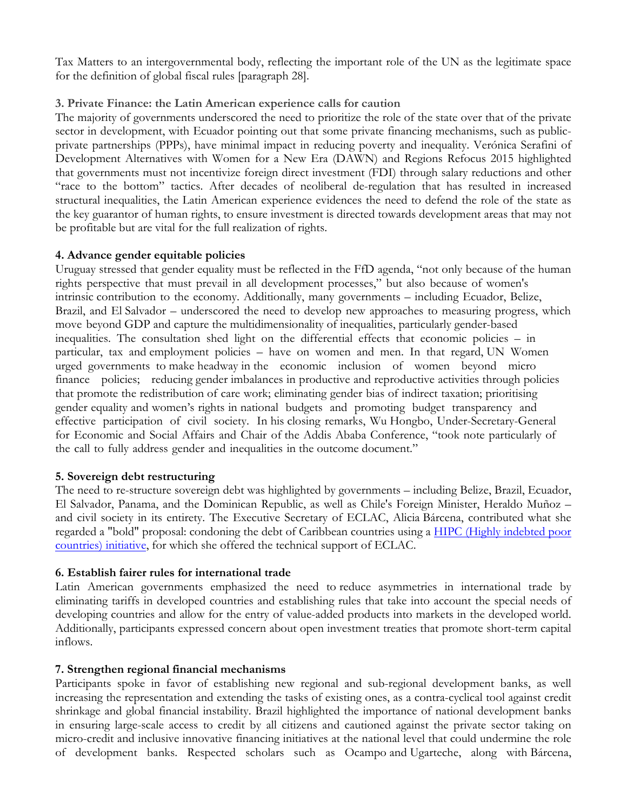Tax Matters to an intergovernmental body, reflecting the important role of the UN as the legitimate space for the definition of global fiscal rules [paragraph 28].

# **3. Private Finance: the Latin American experience calls for caution**

The majority of governments underscored the need to prioritize the role of the state over that of the private sector in development, with Ecuador pointing out that some private financing mechanisms, such as publicprivate partnerships (PPPs), have minimal impact in reducing poverty and inequality. Verónica Serafini of Development Alternatives with Women for a New Era (DAWN) and Regions Refocus 2015 highlighted that governments must not incentivize foreign direct investment (FDI) through salary reductions and other "race to the bottom" tactics. After decades of neoliberal de-regulation that has resulted in increased structural inequalities, the Latin American experience evidences the need to defend the role of the state as the key guarantor of human rights, to ensure investment is directed towards development areas that may not be profitable but are vital for the full realization of rights.

### **4. Advance gender equitable policies**

Uruguay stressed that gender equality must be reflected in the FfD agenda, "not only because of the human rights perspective that must prevail in all development processes," but also because of women's intrinsic contribution to the economy. Additionally, many governments – including Ecuador, Belize, Brazil, and El Salvador – underscored the need to develop new approaches to measuring progress, which move beyond GDP and capture the multidimensionality of inequalities, particularly gender-based inequalities. The consultation shed light on the differential effects that economic policies – in particular, tax and employment policies – have on women and men. In that regard, UN Women urged governments to make headway in the economic inclusion of women beyond micro finance policies; reducing gender imbalances in productive and reproductive activities through policies that promote the redistribution of care work; eliminating gender bias of indirect taxation; prioritising gender equality and women's rights in national budgets and promoting budget transparency and effective participation of civil society. In his closing remarks, Wu Hongbo, Under-Secretary-General for Economic and Social Affairs and Chair of the Addis Ababa Conference, "took note particularly of the call to fully address gender and inequalities in the outcome document."

### **5. Sovereign debt restructuring**

The need to re-structure sovereign debt was highlighted by governments – including Belize, Brazil, Ecuador, El Salvador, Panama, and the Dominican Republic, as well as Chile's Foreign Minister, Heraldo Muñoz – and civil society in its entirety. The Executive Secretary of ECLAC, Alicia Bárcena, contributed what she regarded a "bold" proposal: condoning the debt of Caribbean countries using a HIPC (Highly [indebted](https://www.imf.org/external/np/exr/facts/hipc.htm) poor [countries\)](https://www.imf.org/external/np/exr/facts/hipc.htm) initiative, for which she offered the technical support of ECLAC.

### **6. Establish fairer rules for international trade**

Latin American governments emphasized the need to reduce asymmetries in international trade by eliminating tariffs in developed countries and establishing rules that take into account the special needs of developing countries and allow for the entry of value-added products into markets in the developed world. Additionally, participants expressed concern about open investment treaties that promote short-term capital inflows.

### **7. Strengthen regional financial mechanisms**

Participants spoke in favor of establishing new regional and sub-regional development banks, as well increasing the representation and extending the tasks of existing ones, as a contra-cyclical tool against credit shrinkage and global financial instability. Brazil highlighted the importance of national development banks in ensuring large-scale access to credit by all citizens and cautioned against the private sector taking on micro-credit and inclusive innovative financing initiatives at the national level that could undermine the role of development banks. Respected scholars such as Ocampo and Ugarteche, along with Bárcena,